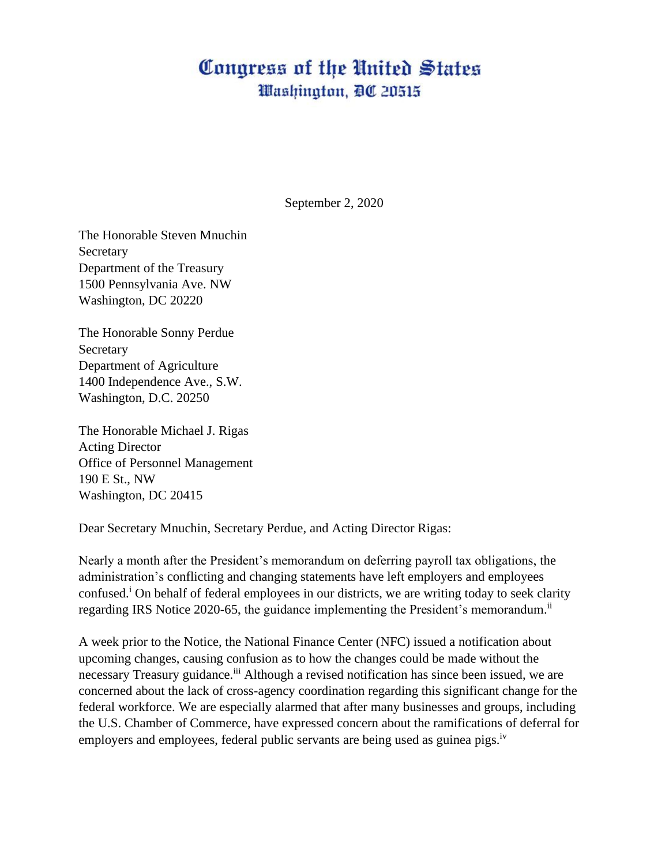## Congress of the United States Washington, DC 20515

September 2, 2020

The Honorable Steven Mnuchin Secretary Department of the Treasury 1500 Pennsylvania Ave. NW Washington, DC 20220

The Honorable Sonny Perdue Secretary Department of Agriculture 1400 Independence Ave., S.W. Washington, D.C. 20250

The Honorable Michael J. Rigas Acting Director Office of Personnel Management 190 E St., NW Washington, DC 20415

Dear Secretary Mnuchin, Secretary Perdue, and Acting Director Rigas:

Nearly a month after the President's memorandum on deferring payroll tax obligations, the administration's conflicting and changing statements have left employers and employees confused.<sup>i</sup> On behalf of federal employees in our districts, we are writing today to seek clarity regarding IRS Notice 2020-65, the guidance implementing the President's memorandum.<sup>ii</sup>

A week prior to the Notice, the National Finance Center (NFC) issued a notification about upcoming changes, causing confusion as to how the changes could be made without the necessary Treasury guidance.<sup>iii</sup> Although a revised notification has since been issued, we are concerned about the lack of cross-agency coordination regarding this significant change for the federal workforce. We are especially alarmed that after many businesses and groups, including the U.S. Chamber of Commerce, have expressed concern about the ramifications of deferral for employers and employees, federal public servants are being used as guinea pigs.<sup>iv</sup>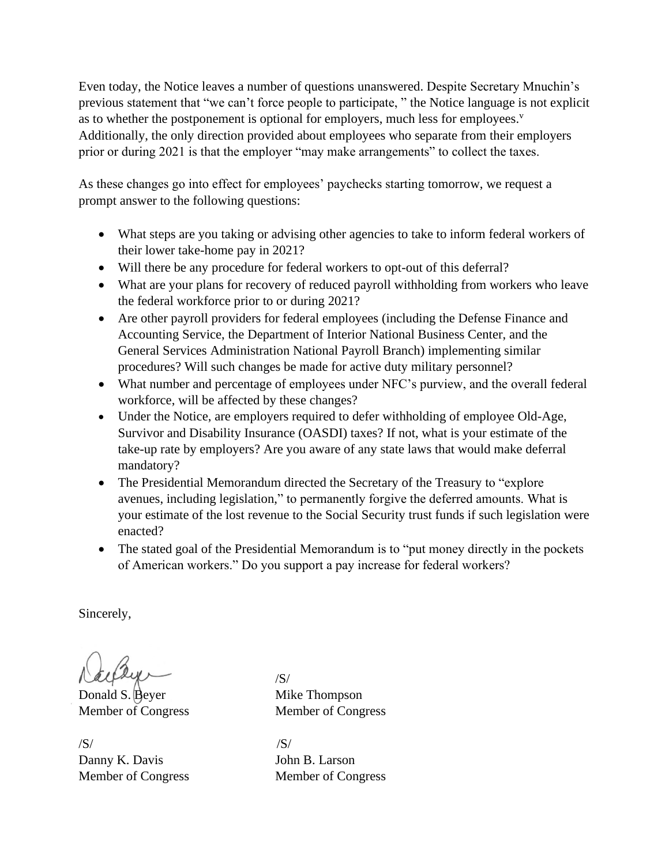Even today, the Notice leaves a number of questions unanswered. Despite Secretary Mnuchin's previous statement that "we can't force people to participate, " the Notice language is not explicit as to whether the postponement is optional for employers, much less for employees.<sup>v</sup> Additionally, the only direction provided about employees who separate from their employers prior or during 2021 is that the employer "may make arrangements" to collect the taxes.

As these changes go into effect for employees' paychecks starting tomorrow, we request a prompt answer to the following questions:

- What steps are you taking or advising other agencies to take to inform federal workers of their lower take-home pay in 2021?
- Will there be any procedure for federal workers to opt-out of this deferral?
- What are your plans for recovery of reduced payroll withholding from workers who leave the federal workforce prior to or during 2021?
- Are other payroll providers for federal employees (including the Defense Finance and Accounting Service, the Department of Interior National Business Center, and the General Services Administration National Payroll Branch) implementing similar procedures? Will such changes be made for active duty military personnel?
- What number and percentage of employees under NFC's purview, and the overall federal workforce, will be affected by these changes?
- Under the Notice, are employers required to defer withholding of employee Old-Age, Survivor and Disability Insurance (OASDI) taxes? If not, what is your estimate of the take-up rate by employers? Are you aware of any state laws that would make deferral mandatory?
- The Presidential Memorandum directed the Secretary of the Treasury to "explore" avenues, including legislation," to permanently forgive the deferred amounts. What is your estimate of the lost revenue to the Social Security trust funds if such legislation were enacted?
- The stated goal of the Presidential Memorandum is to "put money directly in the pockets" of American workers." Do you support a pay increase for federal workers?

Sincerely,

Donald S. Beyer Mike Thompson

 $\sqrt{S}/\sqrt{S}$ Danny K. Davis John B. Larson Member of Congress Member of Congress

/S/ Member of Congress Member of Congress